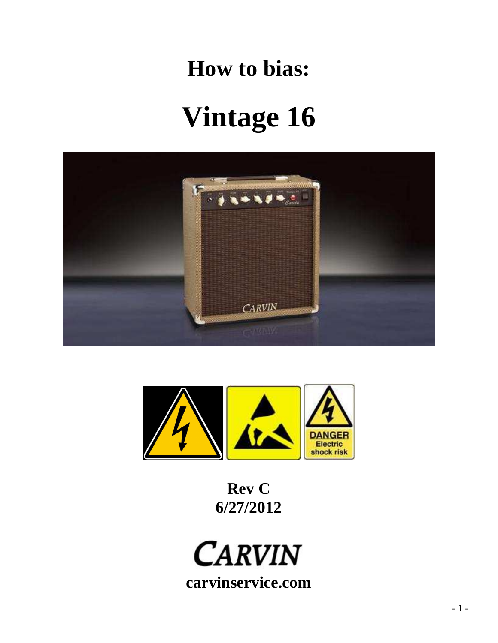## **How to bias:**

# **Vintage 16**





**Rev C 6/27/2012** 

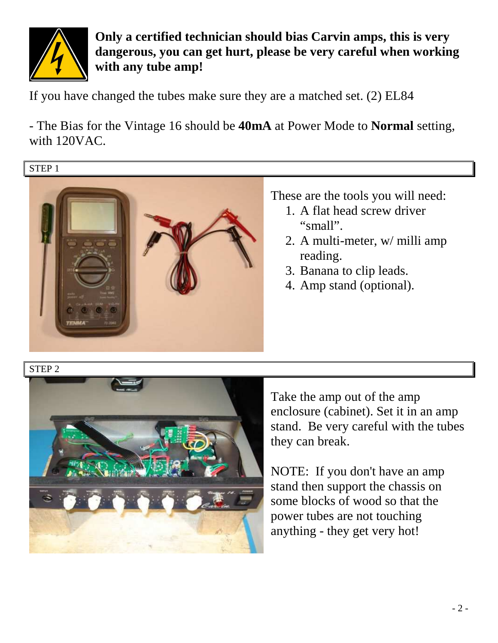

**Only a certified technician should bias Carvin amps, this is very dangerous, you can get hurt, please be very careful when working with any tube amp!** 

If you have changed the tubes make sure they are a matched set. (2) EL84

- The Bias for the Vintage 16 should be **40mA** at Power Mode to **Normal** setting, with 120VAC.

#### STEP 1



These are the tools you will need:

- 1. A flat head screw driver "small".
- 2. A multi-meter, w/ milli amp reading.
- 3. Banana to clip leads.
- 4. Amp stand (optional).

#### STEP 2



Take the amp out of the amp enclosure (cabinet). Set it in an amp stand. Be very careful with the tubes they can break.

NOTE: If you don't have an amp stand then support the chassis on some blocks of wood so that the power tubes are not touching anything - they get very hot!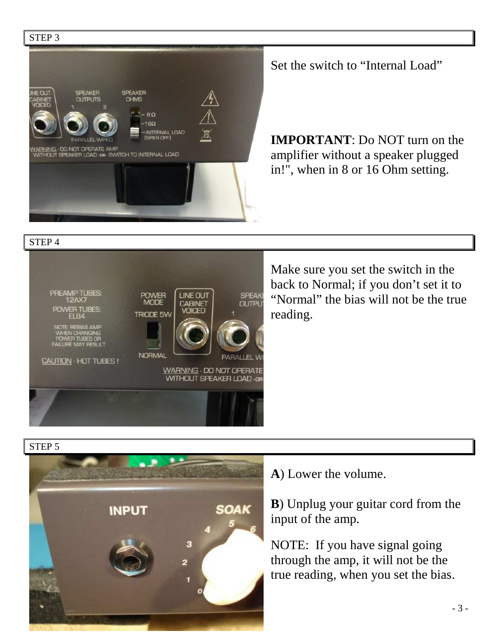

Set the switch to "Internal Load"

**IMPORTANT**: Do NOT turn on the amplifier without a speaker plugged in!", when in 8 or 16 Ohm setting.

STEP 4



Make sure you set the switch in the back to Normal; if you don't set it to "Normal" the bias will not be the true reading.

STEP 5



**A**) Lower the volume.

**B**) Unplug your guitar cord from the input of the amp.

NOTE: If you have signal going through the amp, it will not be the true reading, when you set the bias.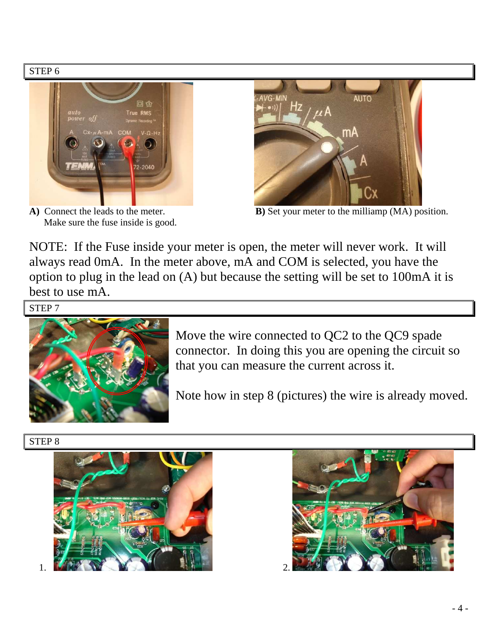

Make sure the fuse inside is good.

NOTE: If the Fuse inside your meter is open, the meter will never work. It will always read 0mA. In the meter above, mA and COM is selected, you have the option to plug in the lead on (A) but because the setting will be set to 100mA it is best to use mA.

STEP 7



Move the wire connected to QC2 to the QC9 spade connector. In doing this you are opening the circuit so that you can measure the current across it.

Note how in step 8 (pictures) the wire is already moved.

#### STEP 8



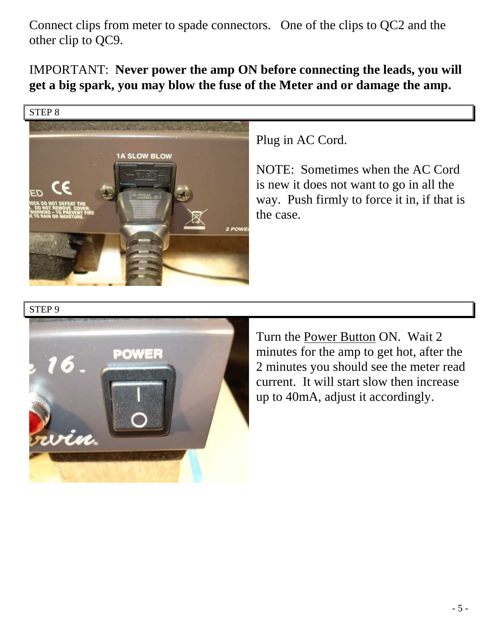Connect clips from meter to spade connectors. One of the clips to QC2 and the other clip to QC9.

IMPORTANT: **Never power the amp ON before connecting the leads, you will get a big spark, you may blow the fuse of the Meter and or damage the amp.** 



#### Plug in AC Cord.

NOTE: Sometimes when the AC Cord is new it does not want to go in all the way. Push firmly to force it in, if that is the case.

#### STEP 9



Turn the Power Button ON. Wait 2 minutes for the amp to get hot, after the 2 minutes you should see the meter read current. It will start slow then increase up to 40mA, adjust it accordingly.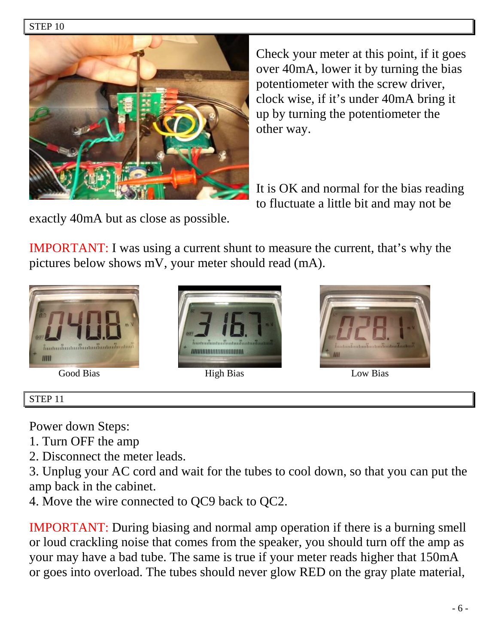#### STEP 10



Check your meter at this point, if it goes over 40mA, lower it by turning the bias potentiometer with the screw driver, clock wise, if it's under 40mA bring it up by turning the potentiometer the other way.

It is OK and normal for the bias reading to fluctuate a little bit and may not be

exactly 40mA but as close as possible.

IMPORTANT: I was using a current shunt to measure the current, that's why the pictures below shows mV, your meter should read (mA).





Good Bias High Bias High Bias Low Bias



### STEP 11

Power down Steps:

- 1. Turn OFF the amp
- 2. Disconnect the meter leads.

3. Unplug your AC cord and wait for the tubes to cool down, so that you can put the amp back in the cabinet.

4. Move the wire connected to QC9 back to QC2.

IMPORTANT: During biasing and normal amp operation if there is a burning smell or loud crackling noise that comes from the speaker, you should turn off the amp as your may have a bad tube. The same is true if your meter reads higher that 150mA or goes into overload. The tubes should never glow RED on the gray plate material,